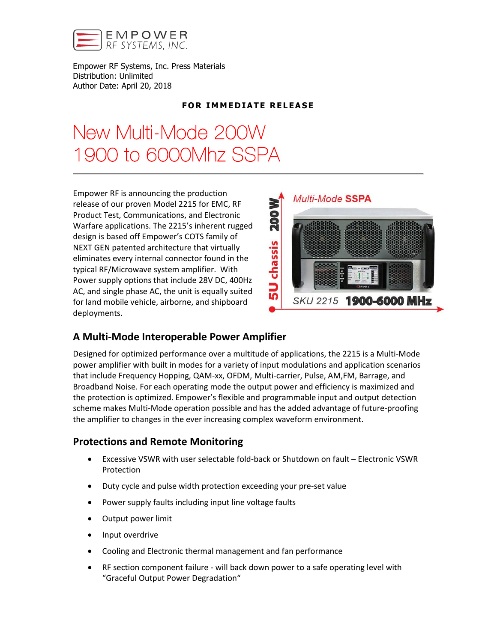

Empower RF Systems, Inc. Press Materials Distribution: Unlimited Author Date: April 20, 2018

## **FOR IMMEDIATE RELEASE**

# New Multi-Mode 200W 1900 to 6000Mhz SSPA

Empower RF is announcing the production release of our proven Model 2215 for EMC, RF Product Test, Communications, and Electronic Warfare applications. The 2215's inherent rugged design is based off Empower's COTS family of NEXT GEN patented architecture that virtually eliminates every internal connector found in the typical RF/Microwave system amplifier. With Power supply options that include 28V DC, 400Hz AC, and single phase AC, the unit is equally suited for land mobile vehicle, airborne, and shipboard deployments.



# A Multi-Mode Interoperable Power Amplifier

Designed for optimized performance over a multitude of applications, the 2215 is a Multi-Mode power amplifier with built in modes for a variety of input modulations and application scenarios that include Frequency Hopping, QAM-xx, OFDM, Multi-carrier, Pulse, AM,FM, Barrage, and Broadband Noise. For each operating mode the output power and efficiency is maximized and the protection is optimized. Empower's flexible and programmable input and output detection scheme makes Multi-Mode operation possible and has the added advantage of future-proofing the amplifier to changes in the ever increasing complex waveform environment.

# Protections and Remote Monitoring

- Excessive VSWR with user selectable fold-back or Shutdown on fault Electronic VSWR Protection
- Duty cycle and pulse width protection exceeding your pre-set value
- Power supply faults including input line voltage faults
- Output power limit
- Input overdrive
- Cooling and Electronic thermal management and fan performance
- RF section component failure will back down power to a safe operating level with "Graceful Output Power Degradation"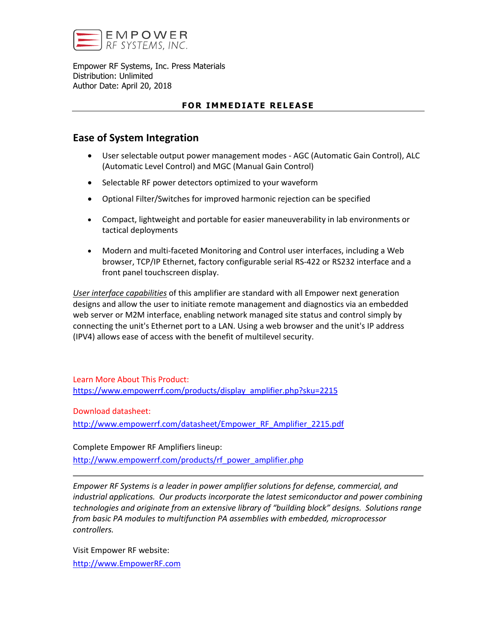

Empower RF Systems, Inc. Press Materials Distribution: Unlimited Author Date: April 20, 2018

#### FOR IMMEDIATE RELEASE

## Ease of System Integration

- User selectable output power management modes AGC (Automatic Gain Control), ALC (Automatic Level Control) and MGC (Manual Gain Control)
- Selectable RF power detectors optimized to your waveform
- Optional Filter/Switches for improved harmonic rejection can be specified
- Compact, lightweight and portable for easier maneuverability in lab environments or tactical deployments
- Modern and multi-faceted Monitoring and Control user interfaces, including a Web browser, TCP/IP Ethernet, factory configurable serial RS-422 or RS232 interface and a front panel touchscreen display.

*User interface capabilities* of this amplifier are standard with all Empower next generation designs and allow the user to initiate remote management and diagnostics via an embedded web server or M2M interface, enabling network managed site status and control simply by connecting the unit's Ethernet port to a LAN. Using a web browser and the unit's IP address (IPV4) allows ease of access with the benefit of multilevel security.

Learn More About This Product: https://www.empowerrf.com/products/display\_amplifier.php?sku=2215

Download datasheet:

[http://www.empowerrf.com/datasheet/Empower\\_RF\\_Amplifier\\_2215.pdf](http://www.empowerrf.com/datasheet/Empower_RF_Amplifier_2215.pdf)

Complete Empower RF Amplifiers lineup:

[http://www.empowerrf.com/products/rf\\_power\\_amplifier.php](http://www.empowerrf.com/products/rf_power_amplifier.php)

*Empower RF Systems is a leader in power amplifier solutions for defense, commercial, and industrial applications. Our products incorporate the latest semiconductor and power combining technologies and originate from an extensive library of "building block" designs. Solutions range from basic PA modules to multifunction PA assemblies with embedded, microprocessor controllers.*

Visit Empower RF website: [http://www.EmpowerRF.com](http://www.empowerrf.com/)